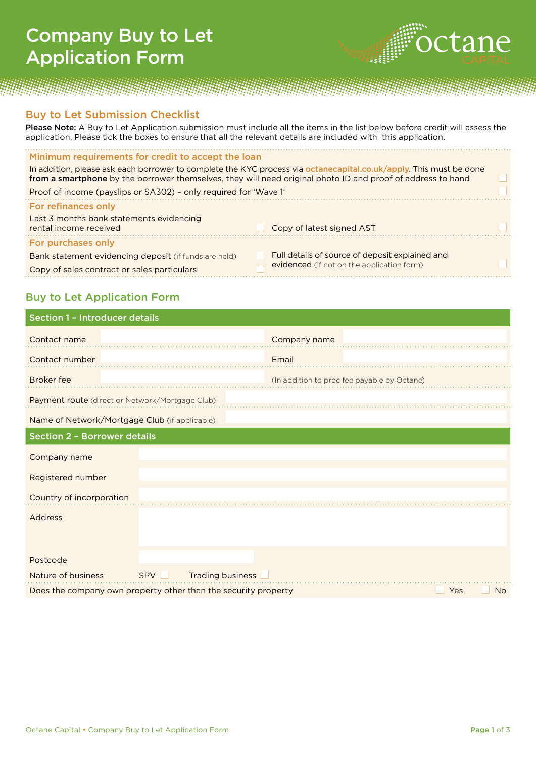## Company Buy to Let Application Form



## Buy to Let Submission Checklist

Please Note: A Buy to Let Application submission must include all the items in the list below before credit will assess the application. Please tick the boxes to ensure that all the relevant details are included with this application.

## Minimum requirements for credit to accept the loan

In addition, please ask each borrower to complete the KYC process via octanecapital.co.uk/apply. This must be done from a smartphone by the borrower themselves, they will need original photo ID and proof of address to hand

| Proof of income (payslips or SA302) - only required for 'Wave 1'   |                                                 |  |
|--------------------------------------------------------------------|-------------------------------------------------|--|
| For refinances only                                                |                                                 |  |
| Last 3 months bank statements evidencing<br>rental income received | Copy of latest signed AST                       |  |
| For purchases only                                                 |                                                 |  |
| Bank statement evidencing deposit (if funds are held)              | Full details of source of deposit explained and |  |
| Copy of sales contract or sales particulars                        | evidenced (if not on the application form)      |  |
|                                                                    |                                                 |  |

## Buy to Let Application Form

| <b>Section 1 - Introducer details</b>                          |       |                  |              |                                             |
|----------------------------------------------------------------|-------|------------------|--------------|---------------------------------------------|
| Contact name                                                   |       |                  | Company name |                                             |
| Contact number                                                 |       |                  | Email        |                                             |
| <b>Broker</b> fee                                              |       |                  |              | (In addition to proc fee payable by Octane) |
| Payment route (direct or Network/Mortgage Club)                |       |                  |              |                                             |
| Name of Network/Mortgage Club (if applicable)                  |       |                  |              |                                             |
| <b>Section 2 - Borrower details</b>                            |       |                  |              |                                             |
| Company name                                                   |       |                  |              |                                             |
| Registered number                                              |       |                  |              |                                             |
| Country of incorporation                                       |       |                  |              |                                             |
| Address                                                        |       |                  |              |                                             |
|                                                                |       |                  |              |                                             |
| Postcode                                                       |       |                  |              |                                             |
| Nature of business                                             | SPV L | Trading business |              |                                             |
| Does the company own property other than the security property |       |                  |              | Yes<br><b>No</b>                            |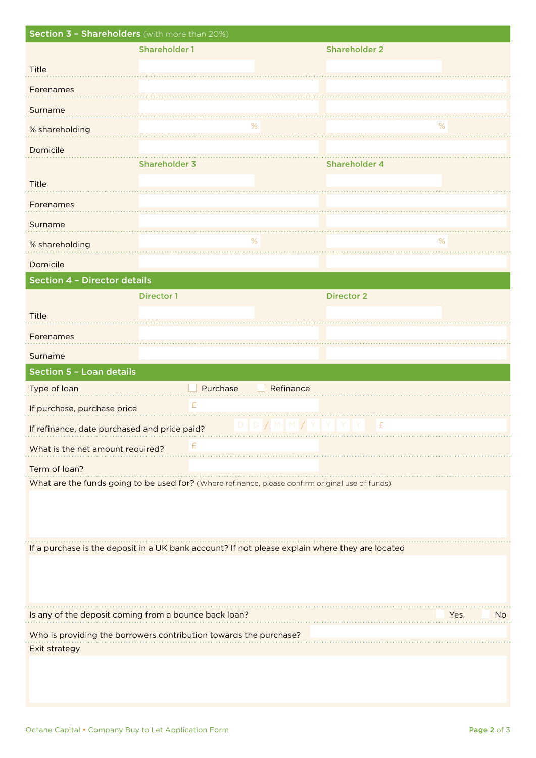| Section 3 - Shareholders (with more than 20%) |                                                                                                  |              |                      |            |
|-----------------------------------------------|--------------------------------------------------------------------------------------------------|--------------|----------------------|------------|
|                                               | <b>Shareholder 1</b>                                                                             |              | <b>Shareholder 2</b> |            |
| Title                                         |                                                                                                  |              |                      |            |
| Forenames                                     |                                                                                                  |              |                      |            |
| Surname                                       |                                                                                                  |              |                      |            |
| % shareholding                                |                                                                                                  | %            |                      | ℅          |
| Domicile                                      |                                                                                                  |              |                      |            |
|                                               | <b>Shareholder 3</b>                                                                             |              | <b>Shareholder 4</b> |            |
| Title                                         |                                                                                                  |              |                      |            |
| Forenames                                     |                                                                                                  |              |                      |            |
| Surname                                       |                                                                                                  |              |                      |            |
| % shareholding                                |                                                                                                  | $\%$         |                      | %          |
| Domicile                                      |                                                                                                  |              |                      |            |
| <b>Section 4 - Director details</b>           |                                                                                                  |              |                      |            |
|                                               | <b>Director 1</b>                                                                                |              | <b>Director 2</b>    |            |
| Title                                         |                                                                                                  |              |                      |            |
| Forenames                                     |                                                                                                  |              |                      |            |
| Surname                                       |                                                                                                  |              |                      |            |
| Section 5 - Loan details                      |                                                                                                  |              |                      |            |
| Type of loan                                  | Purchase                                                                                         | Refinance    |                      |            |
| If purchase, purchase price                   | £                                                                                                |              |                      |            |
| If refinance, date purchased and price paid?  |                                                                                                  | $/$ M<br>M / | £                    |            |
| What is the net amount required?              | £                                                                                                |              |                      |            |
| Term of loan?                                 |                                                                                                  |              |                      |            |
|                                               | What are the funds going to be used for? (Where refinance, please confirm original use of funds) |              |                      |            |
|                                               |                                                                                                  |              |                      |            |
|                                               |                                                                                                  |              |                      |            |
|                                               | If a purchase is the deposit in a UK bank account? If not please explain where they are located  |              |                      |            |
|                                               |                                                                                                  |              |                      |            |
|                                               |                                                                                                  |              |                      |            |
|                                               |                                                                                                  |              |                      |            |
|                                               | Is any of the deposit coming from a bounce back loan?                                            |              |                      | Yes<br>No. |
|                                               | Who is providing the borrowers contribution towards the purchase?                                |              |                      |            |
| Exit strategy                                 |                                                                                                  |              |                      |            |
|                                               |                                                                                                  |              |                      |            |